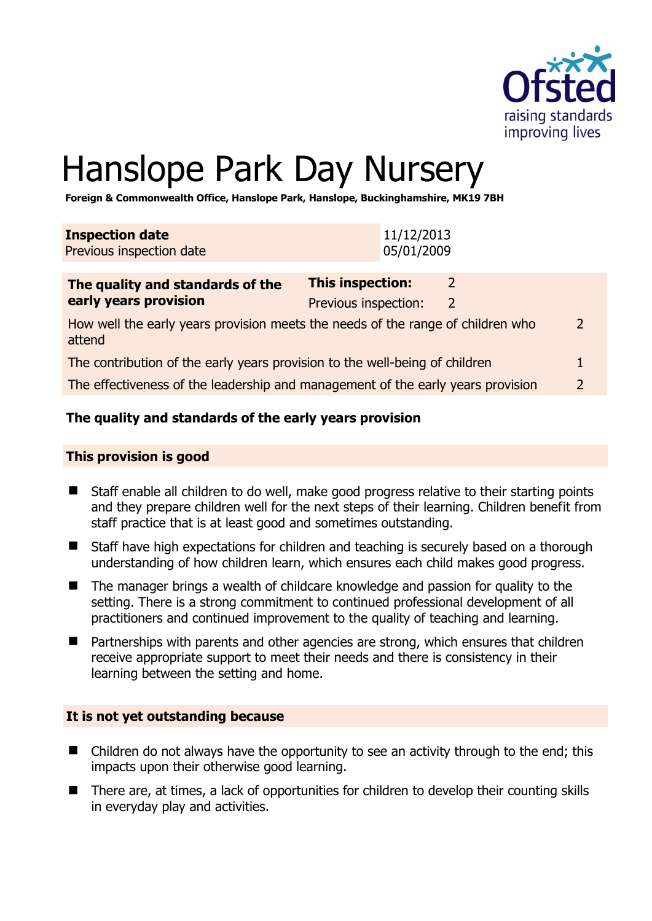

# Hanslope Park Day Nursery

**Foreign & Commonwealth Office, Hanslope Park, Hanslope, Buckinghamshire, MK19 7BH** 

| <b>Inspection date</b><br>Previous inspection date                                        |                                          | 11/12/2013<br>05/01/2009 |                    |                |
|-------------------------------------------------------------------------------------------|------------------------------------------|--------------------------|--------------------|----------------|
| The quality and standards of the<br>early years provision                                 | This inspection:<br>Previous inspection: |                          | 2<br>$\mathcal{L}$ |                |
| How well the early years provision meets the needs of the range of children who<br>attend |                                          |                          |                    | $\overline{2}$ |
| The contribution of the early years provision to the well-being of children               |                                          |                          |                    |                |
| The effectiveness of the leadership and management of the early years provision           |                                          |                          |                    | $\overline{2}$ |

# **The quality and standards of the early years provision**

#### **This provision is good**

- Staff enable all children to do well, make good progress relative to their starting points and they prepare children well for the next steps of their learning. Children benefit from staff practice that is at least good and sometimes outstanding.
- Staff have high expectations for children and teaching is securely based on a thorough understanding of how children learn, which ensures each child makes good progress.
- The manager brings a wealth of childcare knowledge and passion for quality to the setting. There is a strong commitment to continued professional development of all practitioners and continued improvement to the quality of teaching and learning.
- Partnerships with parents and other agencies are strong, which ensures that children receive appropriate support to meet their needs and there is consistency in their learning between the setting and home.

#### **It is not yet outstanding because**

- Children do not always have the opportunity to see an activity through to the end; this impacts upon their otherwise good learning.
- There are, at times, a lack of opportunities for children to develop their counting skills in everyday play and activities.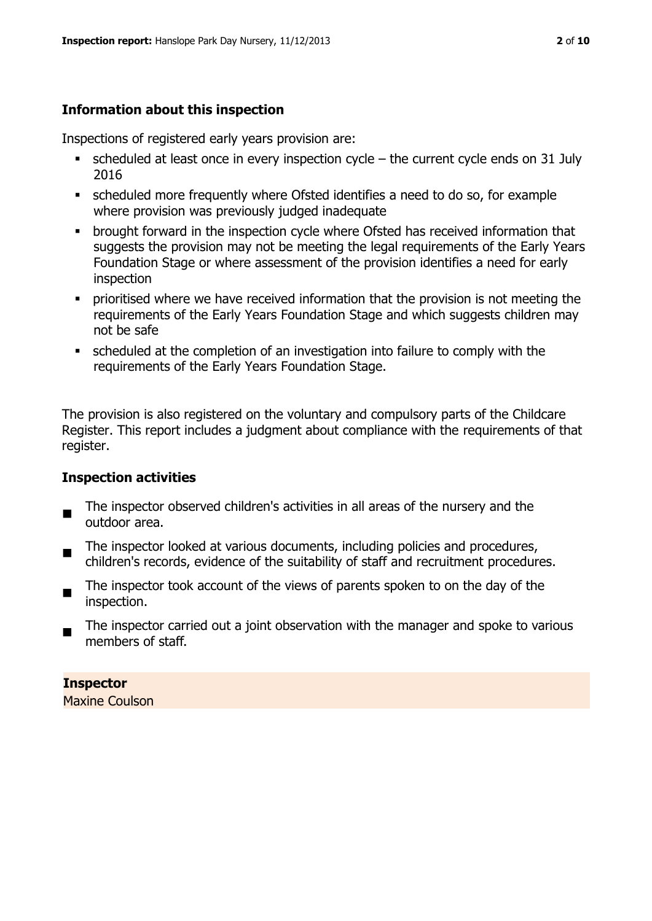# **Information about this inspection**

Inspections of registered early years provision are:

- scheduled at least once in every inspection cycle the current cycle ends on 31 July 2016
- scheduled more frequently where Ofsted identifies a need to do so, for example where provision was previously judged inadequate
- **•** brought forward in the inspection cycle where Ofsted has received information that suggests the provision may not be meeting the legal requirements of the Early Years Foundation Stage or where assessment of the provision identifies a need for early inspection
- **•** prioritised where we have received information that the provision is not meeting the requirements of the Early Years Foundation Stage and which suggests children may not be safe
- scheduled at the completion of an investigation into failure to comply with the requirements of the Early Years Foundation Stage.

The provision is also registered on the voluntary and compulsory parts of the Childcare Register. This report includes a judgment about compliance with the requirements of that register.

# **Inspection activities**

- $\blacksquare$ The inspector observed children's activities in all areas of the nursery and the outdoor area.
- The inspector looked at various documents, including policies and procedures, children's records, evidence of the suitability of staff and recruitment procedures.
- The inspector took account of the views of parents spoken to on the day of the inspection.
- The inspector carried out a joint observation with the manager and spoke to various members of staff.

# **Inspector**

Maxine Coulson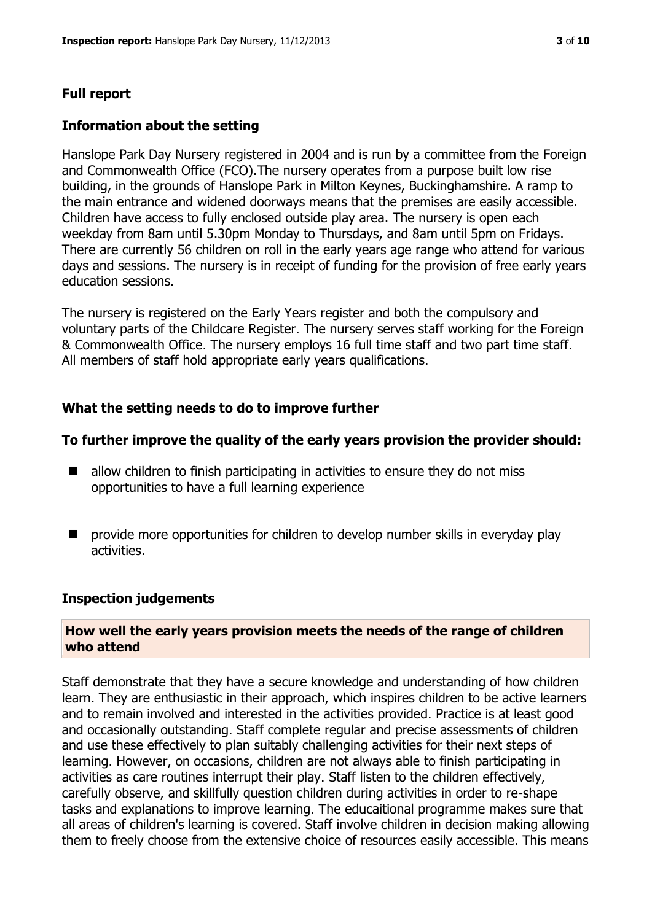# **Full report**

#### **Information about the setting**

Hanslope Park Day Nursery registered in 2004 and is run by a committee from the Foreign and Commonwealth Office (FCO).The nursery operates from a purpose built low rise building, in the grounds of Hanslope Park in Milton Keynes, Buckinghamshire. A ramp to the main entrance and widened doorways means that the premises are easily accessible. Children have access to fully enclosed outside play area. The nursery is open each weekday from 8am until 5.30pm Monday to Thursdays, and 8am until 5pm on Fridays. There are currently 56 children on roll in the early years age range who attend for various days and sessions. The nursery is in receipt of funding for the provision of free early years education sessions.

The nursery is registered on the Early Years register and both the compulsory and voluntary parts of the Childcare Register. The nursery serves staff working for the Foreign & Commonwealth Office. The nursery employs 16 full time staff and two part time staff. All members of staff hold appropriate early years qualifications.

# **What the setting needs to do to improve further**

#### **To further improve the quality of the early years provision the provider should:**

- $\blacksquare$  allow children to finish participating in activities to ensure they do not miss opportunities to have a full learning experience
- $\blacksquare$  provide more opportunities for children to develop number skills in everyday play activities.

#### **Inspection judgements**

#### **How well the early years provision meets the needs of the range of children who attend**

Staff demonstrate that they have a secure knowledge and understanding of how children learn. They are enthusiastic in their approach, which inspires children to be active learners and to remain involved and interested in the activities provided. Practice is at least good and occasionally outstanding. Staff complete regular and precise assessments of children and use these effectively to plan suitably challenging activities for their next steps of learning. However, on occasions, children are not always able to finish participating in activities as care routines interrupt their play. Staff listen to the children effectively, carefully observe, and skillfully question children during activities in order to re-shape tasks and explanations to improve learning. The educaitional programme makes sure that all areas of children's learning is covered. Staff involve children in decision making allowing them to freely choose from the extensive choice of resources easily accessible. This means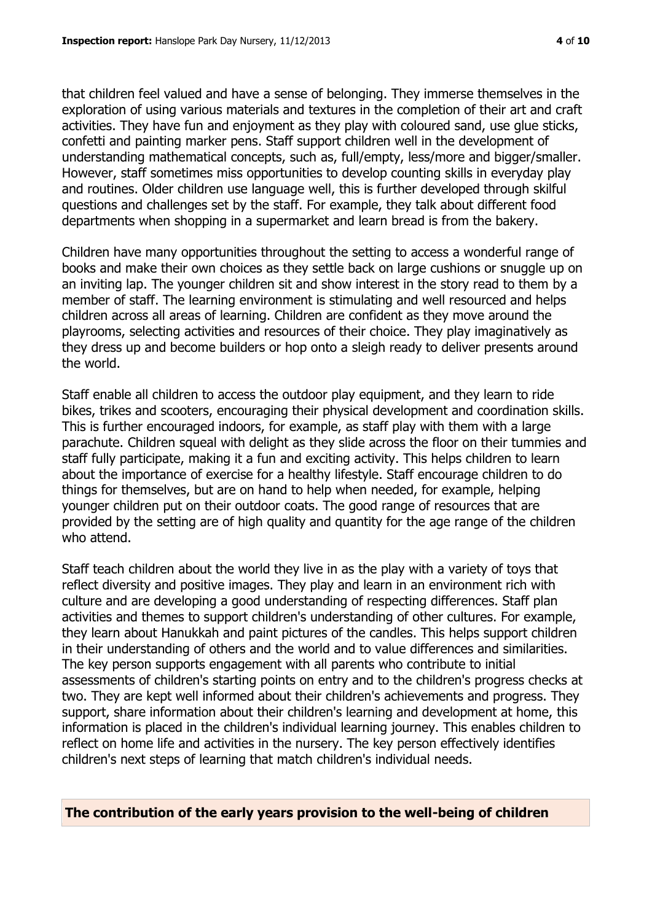that children feel valued and have a sense of belonging. They immerse themselves in the exploration of using various materials and textures in the completion of their art and craft activities. They have fun and enjoyment as they play with coloured sand, use glue sticks, confetti and painting marker pens. Staff support children well in the development of understanding mathematical concepts, such as, full/empty, less/more and bigger/smaller. However, staff sometimes miss opportunities to develop counting skills in everyday play and routines. Older children use language well, this is further developed through skilful questions and challenges set by the staff. For example, they talk about different food departments when shopping in a supermarket and learn bread is from the bakery.

Children have many opportunities throughout the setting to access a wonderful range of books and make their own choices as they settle back on large cushions or snuggle up on an inviting lap. The younger children sit and show interest in the story read to them by a member of staff. The learning environment is stimulating and well resourced and helps children across all areas of learning. Children are confident as they move around the playrooms, selecting activities and resources of their choice. They play imaginatively as they dress up and become builders or hop onto a sleigh ready to deliver presents around the world.

Staff enable all children to access the outdoor play equipment, and they learn to ride bikes, trikes and scooters, encouraging their physical development and coordination skills. This is further encouraged indoors, for example, as staff play with them with a large parachute. Children squeal with delight as they slide across the floor on their tummies and staff fully participate, making it a fun and exciting activity. This helps children to learn about the importance of exercise for a healthy lifestyle. Staff encourage children to do things for themselves, but are on hand to help when needed, for example, helping younger children put on their outdoor coats. The good range of resources that are provided by the setting are of high quality and quantity for the age range of the children who attend.

Staff teach children about the world they live in as the play with a variety of toys that reflect diversity and positive images. They play and learn in an environment rich with culture and are developing a good understanding of respecting differences. Staff plan activities and themes to support children's understanding of other cultures. For example, they learn about Hanukkah and paint pictures of the candles. This helps support children in their understanding of others and the world and to value differences and similarities. The key person supports engagement with all parents who contribute to initial assessments of children's starting points on entry and to the children's progress checks at two. They are kept well informed about their children's achievements and progress. They support, share information about their children's learning and development at home, this information is placed in the children's individual learning journey. This enables children to reflect on home life and activities in the nursery. The key person effectively identifies children's next steps of learning that match children's individual needs.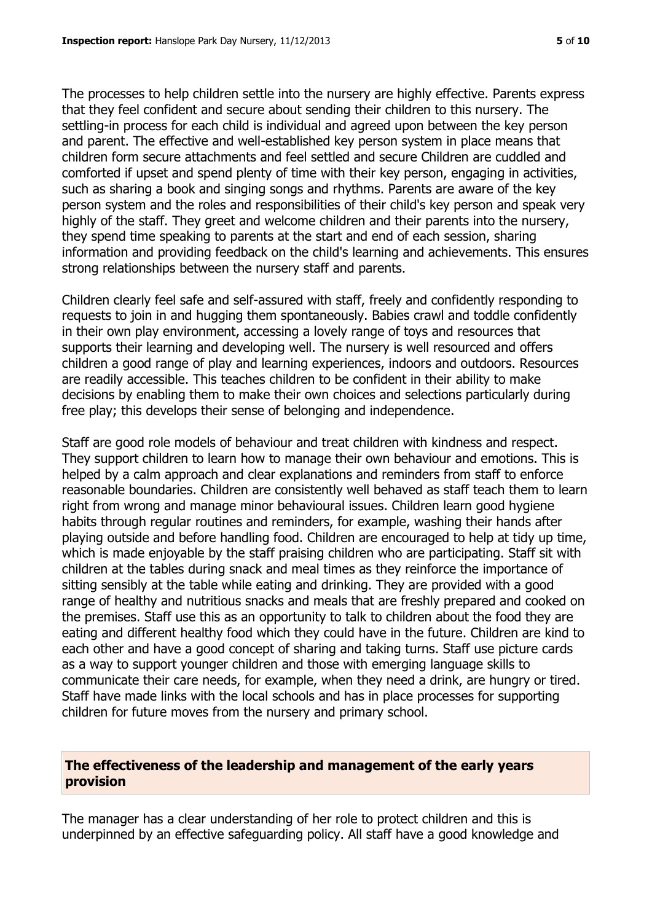The processes to help children settle into the nursery are highly effective. Parents express that they feel confident and secure about sending their children to this nursery. The settling-in process for each child is individual and agreed upon between the key person and parent. The effective and well-established key person system in place means that children form secure attachments and feel settled and secure Children are cuddled and comforted if upset and spend plenty of time with their key person, engaging in activities, such as sharing a book and singing songs and rhythms. Parents are aware of the key person system and the roles and responsibilities of their child's key person and speak very highly of the staff. They greet and welcome children and their parents into the nursery, they spend time speaking to parents at the start and end of each session, sharing information and providing feedback on the child's learning and achievements. This ensures strong relationships between the nursery staff and parents.

Children clearly feel safe and self-assured with staff, freely and confidently responding to requests to join in and hugging them spontaneously. Babies crawl and toddle confidently in their own play environment, accessing a lovely range of toys and resources that supports their learning and developing well. The nursery is well resourced and offers children a good range of play and learning experiences, indoors and outdoors. Resources are readily accessible. This teaches children to be confident in their ability to make decisions by enabling them to make their own choices and selections particularly during free play; this develops their sense of belonging and independence.

Staff are good role models of behaviour and treat children with kindness and respect. They support children to learn how to manage their own behaviour and emotions. This is helped by a calm approach and clear explanations and reminders from staff to enforce reasonable boundaries. Children are consistently well behaved as staff teach them to learn right from wrong and manage minor behavioural issues. Children learn good hygiene habits through regular routines and reminders, for example, washing their hands after playing outside and before handling food. Children are encouraged to help at tidy up time, which is made enjoyable by the staff praising children who are participating. Staff sit with children at the tables during snack and meal times as they reinforce the importance of sitting sensibly at the table while eating and drinking. They are provided with a good range of healthy and nutritious snacks and meals that are freshly prepared and cooked on the premises. Staff use this as an opportunity to talk to children about the food they are eating and different healthy food which they could have in the future. Children are kind to each other and have a good concept of sharing and taking turns. Staff use picture cards as a way to support younger children and those with emerging language skills to communicate their care needs, for example, when they need a drink, are hungry or tired. Staff have made links with the local schools and has in place processes for supporting children for future moves from the nursery and primary school.

#### **The effectiveness of the leadership and management of the early years provision**

The manager has a clear understanding of her role to protect children and this is underpinned by an effective safeguarding policy. All staff have a good knowledge and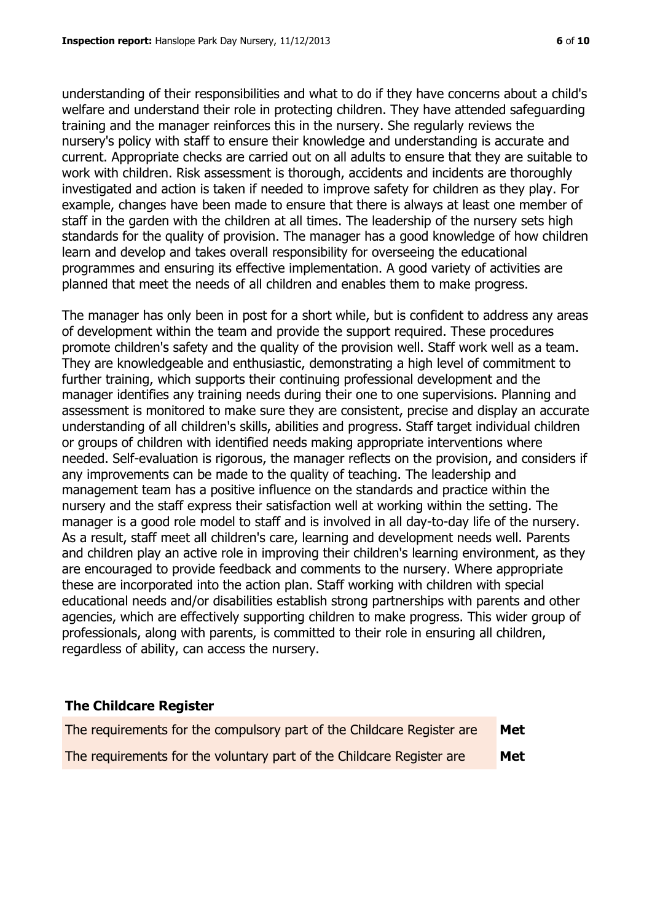understanding of their responsibilities and what to do if they have concerns about a child's welfare and understand their role in protecting children. They have attended safeguarding training and the manager reinforces this in the nursery. She regularly reviews the nursery's policy with staff to ensure their knowledge and understanding is accurate and current. Appropriate checks are carried out on all adults to ensure that they are suitable to work with children. Risk assessment is thorough, accidents and incidents are thoroughly investigated and action is taken if needed to improve safety for children as they play. For example, changes have been made to ensure that there is always at least one member of staff in the garden with the children at all times. The leadership of the nursery sets high standards for the quality of provision. The manager has a good knowledge of how children learn and develop and takes overall responsibility for overseeing the educational programmes and ensuring its effective implementation. A good variety of activities are planned that meet the needs of all children and enables them to make progress.

The manager has only been in post for a short while, but is confident to address any areas of development within the team and provide the support required. These procedures promote children's safety and the quality of the provision well. Staff work well as a team. They are knowledgeable and enthusiastic, demonstrating a high level of commitment to further training, which supports their continuing professional development and the manager identifies any training needs during their one to one supervisions. Planning and assessment is monitored to make sure they are consistent, precise and display an accurate understanding of all children's skills, abilities and progress. Staff target individual children or groups of children with identified needs making appropriate interventions where needed. Self-evaluation is rigorous, the manager reflects on the provision, and considers if any improvements can be made to the quality of teaching. The leadership and management team has a positive influence on the standards and practice within the nursery and the staff express their satisfaction well at working within the setting. The manager is a good role model to staff and is involved in all day-to-day life of the nursery. As a result, staff meet all children's care, learning and development needs well. Parents and children play an active role in improving their children's learning environment, as they are encouraged to provide feedback and comments to the nursery. Where appropriate these are incorporated into the action plan. Staff working with children with special educational needs and/or disabilities establish strong partnerships with parents and other agencies, which are effectively supporting children to make progress. This wider group of professionals, along with parents, is committed to their role in ensuring all children, regardless of ability, can access the nursery.

# **The Childcare Register**

| The requirements for the compulsory part of the Childcare Register are | Met |
|------------------------------------------------------------------------|-----|
| The requirements for the voluntary part of the Childcare Register are  | Met |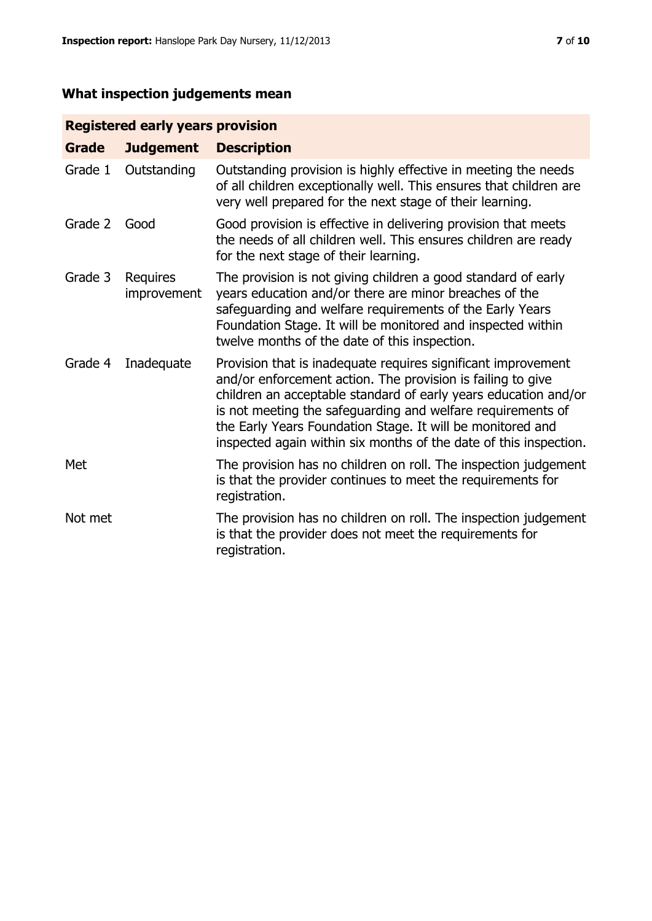# **What inspection judgements mean**

# **Registered early years provision**

| <b>Grade</b> | <b>Judgement</b>        | <b>Description</b>                                                                                                                                                                                                                                                                                                                                                                                |
|--------------|-------------------------|---------------------------------------------------------------------------------------------------------------------------------------------------------------------------------------------------------------------------------------------------------------------------------------------------------------------------------------------------------------------------------------------------|
| Grade 1      | Outstanding             | Outstanding provision is highly effective in meeting the needs<br>of all children exceptionally well. This ensures that children are<br>very well prepared for the next stage of their learning.                                                                                                                                                                                                  |
| Grade 2      | Good                    | Good provision is effective in delivering provision that meets<br>the needs of all children well. This ensures children are ready<br>for the next stage of their learning.                                                                                                                                                                                                                        |
| Grade 3      | Requires<br>improvement | The provision is not giving children a good standard of early<br>years education and/or there are minor breaches of the<br>safeguarding and welfare requirements of the Early Years<br>Foundation Stage. It will be monitored and inspected within<br>twelve months of the date of this inspection.                                                                                               |
| Grade 4      | Inadequate              | Provision that is inadequate requires significant improvement<br>and/or enforcement action. The provision is failing to give<br>children an acceptable standard of early years education and/or<br>is not meeting the safeguarding and welfare requirements of<br>the Early Years Foundation Stage. It will be monitored and<br>inspected again within six months of the date of this inspection. |
| Met          |                         | The provision has no children on roll. The inspection judgement<br>is that the provider continues to meet the requirements for<br>registration.                                                                                                                                                                                                                                                   |
| Not met      |                         | The provision has no children on roll. The inspection judgement<br>is that the provider does not meet the requirements for<br>registration.                                                                                                                                                                                                                                                       |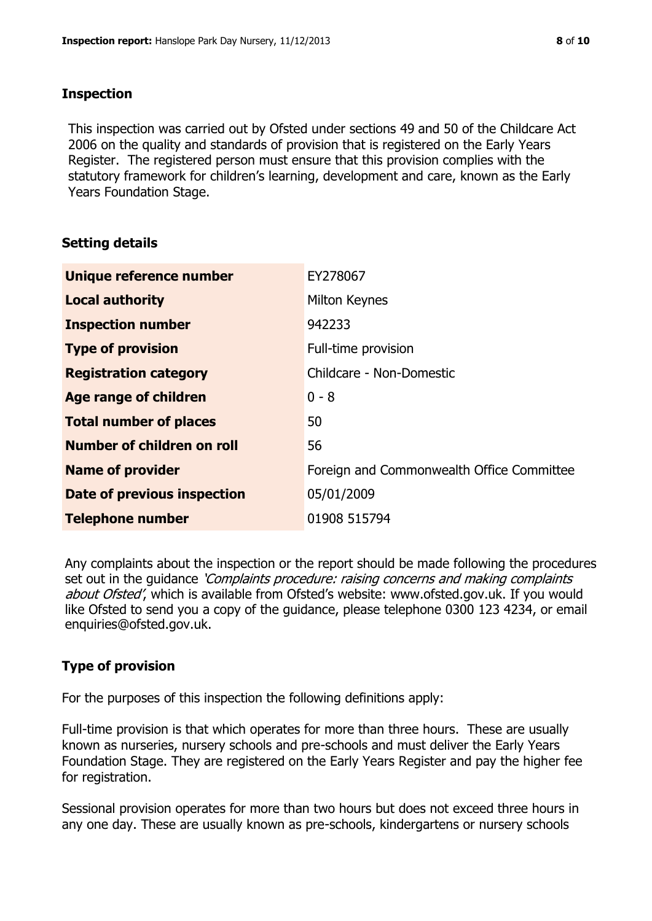#### **Inspection**

This inspection was carried out by Ofsted under sections 49 and 50 of the Childcare Act 2006 on the quality and standards of provision that is registered on the Early Years Register. The registered person must ensure that this provision complies with the statutory framework for children's learning, development and care, known as the Early Years Foundation Stage.

#### **Setting details**

| Unique reference number       | EY278067                                  |
|-------------------------------|-------------------------------------------|
| <b>Local authority</b>        | Milton Keynes                             |
| <b>Inspection number</b>      | 942233                                    |
| <b>Type of provision</b>      | Full-time provision                       |
| <b>Registration category</b>  | Childcare - Non-Domestic                  |
| Age range of children         | $0 - 8$                                   |
| <b>Total number of places</b> | 50                                        |
| Number of children on roll    | 56                                        |
| <b>Name of provider</b>       | Foreign and Commonwealth Office Committee |
| Date of previous inspection   | 05/01/2009                                |
| <b>Telephone number</b>       | 01908 515794                              |

Any complaints about the inspection or the report should be made following the procedures set out in the guidance *'Complaints procedure: raising concerns and making complaints* about Ofsted', which is available from Ofsted's website: www.ofsted.gov.uk. If you would like Ofsted to send you a copy of the guidance, please telephone 0300 123 4234, or email enquiries@ofsted.gov.uk.

# **Type of provision**

For the purposes of this inspection the following definitions apply:

Full-time provision is that which operates for more than three hours. These are usually known as nurseries, nursery schools and pre-schools and must deliver the Early Years Foundation Stage. They are registered on the Early Years Register and pay the higher fee for registration.

Sessional provision operates for more than two hours but does not exceed three hours in any one day. These are usually known as pre-schools, kindergartens or nursery schools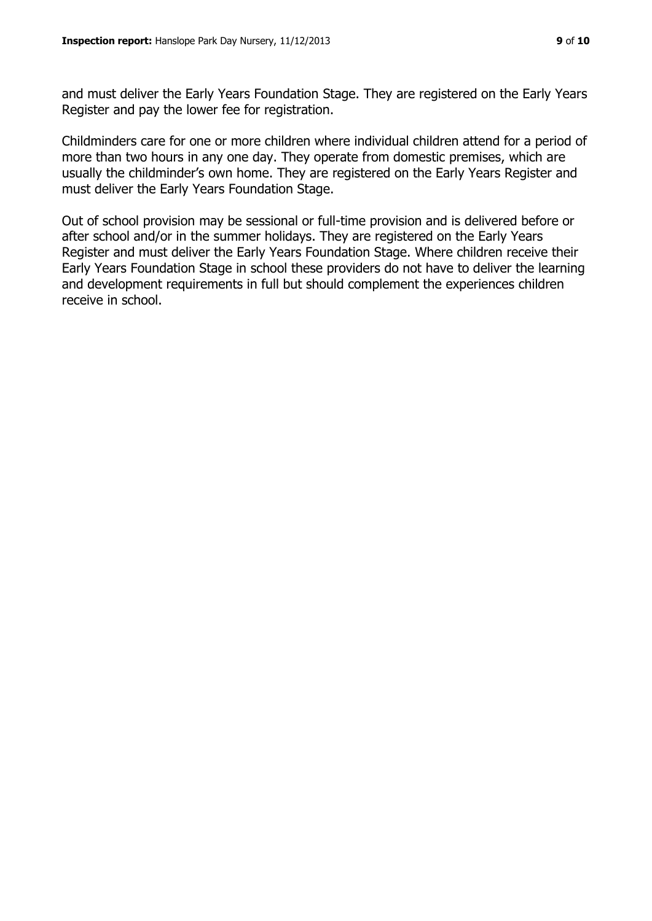and must deliver the Early Years Foundation Stage. They are registered on the Early Years Register and pay the lower fee for registration.

Childminders care for one or more children where individual children attend for a period of more than two hours in any one day. They operate from domestic premises, which are usually the childminder's own home. They are registered on the Early Years Register and must deliver the Early Years Foundation Stage.

Out of school provision may be sessional or full-time provision and is delivered before or after school and/or in the summer holidays. They are registered on the Early Years Register and must deliver the Early Years Foundation Stage. Where children receive their Early Years Foundation Stage in school these providers do not have to deliver the learning and development requirements in full but should complement the experiences children receive in school.